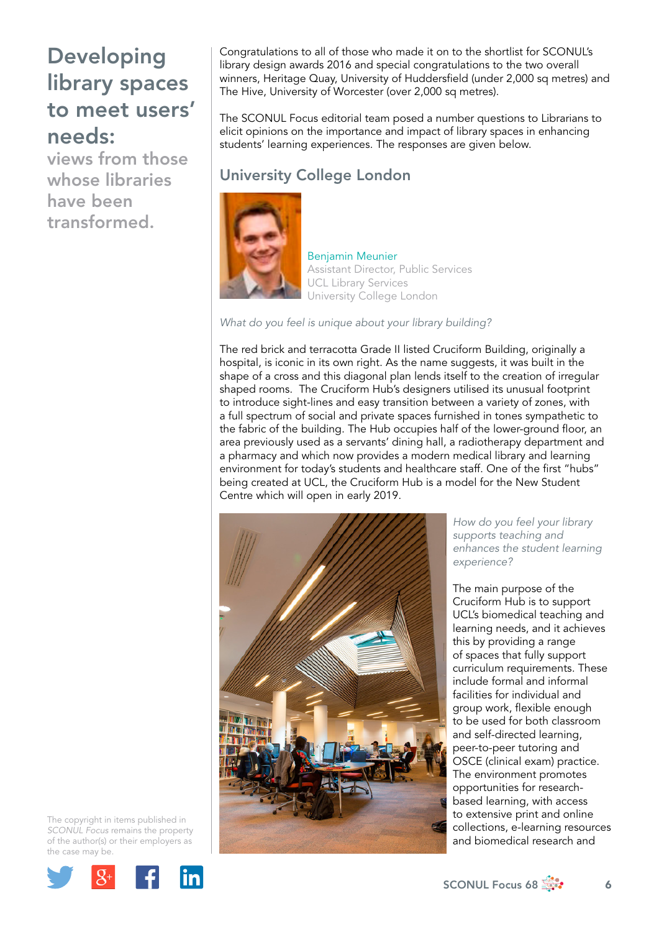views from those whose libraries have been transformed.

Congratulations to all of those who made it on to the shortlist for SCONUL's library design awards 2016 and special congratulations to the two overall winners, Heritage Quay, University of Huddersfield (under 2,000 sq metres) and The Hive, University of Worcester (over 2,000 sq metres).

The SCONUL Focus editorial team posed a number questions to Librarians to elicit opinions on the importance and impact of library spaces in enhancing students' learning experiences. The responses are given below.

## University College London



Benjamin Meunier Assistant Director, Public Services UCL Library Services University College London

*What do you feel is unique about your library building?*

The red brick and terracotta Grade II listed Cruciform Building, originally a hospital, is iconic in its own right. As the name suggests, it was built in the shape of a cross and this diagonal plan lends itself to the creation of irregular shaped rooms. The Cruciform Hub's designers utilised its unusual footprint to introduce sight-lines and easy transition between a variety of zones, with a full spectrum of social and private spaces furnished in tones sympathetic to the fabric of the building. The Hub occupies half of the lower-ground floor, an area previously used as a servants' dining hall, a radiotherapy department and a pharmacy and which now provides a modern medical library and learning environment for today's students and healthcare staff. One of the first "hubs" being created at UCL, the Cruciform Hub is a model for the New Student Centre which will open in early 2019.



*How do you feel your library supports teaching and enhances the student learning experience?*

The main purpose of the Cruciform Hub is to support UCL's biomedical teaching and learning needs, and it achieves this by providing a range of spaces that fully support curriculum requirements. These include formal and informal facilities for individual and group work, flexible enough to be used for both classroom and self-directed learning, peer-to-peer tutoring and OSCE (clinical exam) practice. The environment promotes opportunities for researchbased learning, with access to extensive print and online collections, e-learning resources and biomedical research and



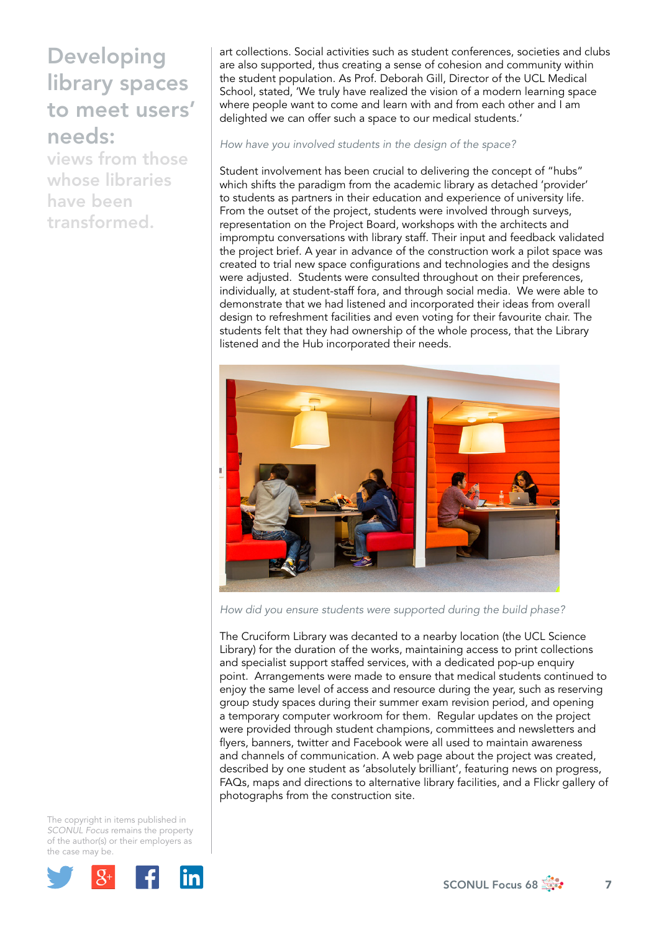views from those whose libraries have been transformed.

art collections. Social activities such as student conferences, societies and clubs are also supported, thus creating a sense of cohesion and community within the student population. As Prof. Deborah Gill, Director of the UCL Medical School, stated, 'We truly have realized the vision of a modern learning space where people want to come and learn with and from each other and I am delighted we can offer such a space to our medical students.'

*How have you involved students in the design of the space?*

Student involvement has been crucial to delivering the concept of "hubs" which shifts the paradigm from the academic library as detached 'provider' to students as partners in their education and experience of university life. From the outset of the project, students were involved through surveys, representation on the Project Board, workshops with the architects and impromptu conversations with library staff. Their input and feedback validated the project brief. A year in advance of the construction work a pilot space was created to trial new space configurations and technologies and the designs were adjusted. Students were consulted throughout on their preferences, individually, at student-staff fora, and through social media. We were able to demonstrate that we had listened and incorporated their ideas from overall design to refreshment facilities and even voting for their favourite chair. The students felt that they had ownership of the whole process, that the Library listened and the Hub incorporated their needs.



*How did you ensure students were supported during the build phase?*

The Cruciform Library was decanted to a nearby location (the UCL Science Library) for the duration of the works, maintaining access to print collections and specialist support staffed services, with a dedicated pop-up enquiry point. Arrangements were made to ensure that medical students continued to enjoy the same level of access and resource during the year, such as reserving group study spaces during their summer exam revision period, and opening a temporary computer workroom for them. Regular updates on the project were provided through student champions, committees and newsletters and flyers, banners, twitter and Facebook were all used to maintain awareness and channels of communication. A web page about the project was created, described by one student as 'absolutely brilliant', featuring news on progress, FAQs, maps and directions to alternative library facilities, and a Flickr gallery of photographs from the construction site.

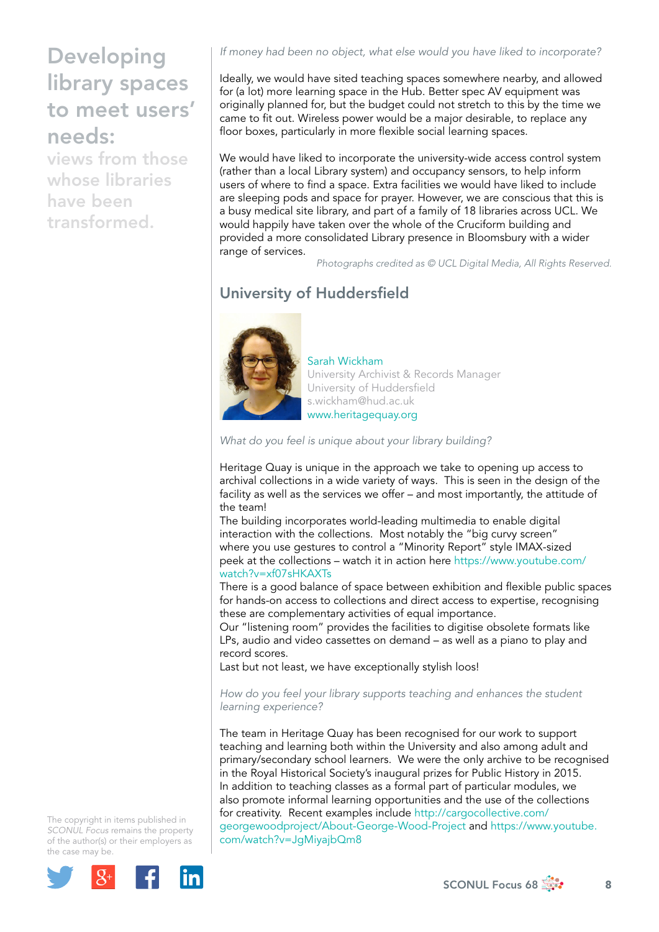views from those whose libraries have been transformed.

*If money had been no object, what else would you have liked to incorporate?*

Ideally, we would have sited teaching spaces somewhere nearby, and allowed for (a lot) more learning space in the Hub. Better spec AV equipment was originally planned for, but the budget could not stretch to this by the time we came to fit out. Wireless power would be a major desirable, to replace any floor boxes, particularly in more flexible social learning spaces.

We would have liked to incorporate the university-wide access control system (rather than a local Library system) and occupancy sensors, to help inform users of where to find a space. Extra facilities we would have liked to include are sleeping pods and space for prayer. However, we are conscious that this is a busy medical site library, and part of a family of 18 libraries across UCL. We would happily have taken over the whole of the Cruciform building and provided a more consolidated Library presence in Bloomsbury with a wider range of services.

*Photographs credited as © UCL Digital Media, All Rights Reserved.*

## University of Huddersfield



### Sarah Wickham University Archivist & Records Manager University of Huddersfield [s.wickham@hud.ac.uk](mailto:s.wickham@hud.ac.uk) [www.heritagequay.org](file:///Users/stevegardner/Desktop/Focus%2068/www.heritagequay.org)

*What do you feel is unique about your library building?*

Heritage Quay is unique in the approach we take to opening up access to archival collections in a wide variety of ways. This is seen in the design of the facility as well as the services we offer – and most importantly, the attitude of the team!

The building incorporates world-leading multimedia to enable digital interaction with the collections. Most notably the "big curvy screen" where you use gestures to control a "Minority Report" style IMAX-sized peek at the collections – watch it in action here [https://www.youtube.com/](https://www.youtube.com/watch?v=xf07sHKAXTs) [watch?v=xf07sHKAXTs](https://www.youtube.com/watch?v=xf07sHKAXTs)

There is a good balance of space between exhibition and flexible public spaces for hands-on access to collections and direct access to expertise, recognising these are complementary activities of equal importance.

Our "listening room" provides the facilities to digitise obsolete formats like LPs, audio and video cassettes on demand – as well as a piano to play and record scores.

Last but not least, we have exceptionally stylish loos!

### *How do you feel your library supports teaching and enhances the student learning experience?*

The team in Heritage Quay has been recognised for our work to support teaching and learning both within the University and also among adult and primary/secondary school learners. We were the only archive to be recognised in the Royal Historical Society's inaugural prizes for Public History in 2015. In addition to teaching classes as a formal part of particular modules, we also promote informal learning opportunities and the use of the collections for creativity. Recent examples include [http://cargocollective.com/](http://cargocollective.com/georgewoodproject/About-George-Wood-Project) [georgewoodproject/About-George-Wood-Project](http://cargocollective.com/georgewoodproject/About-George-Wood-Project) and [https://www.youtube.](https://www.youtube.com/watch?v=JgMiyajbQm8) [com/watch?v=JgMiyajbQm8](https://www.youtube.com/watch?v=JgMiyajbQm8)



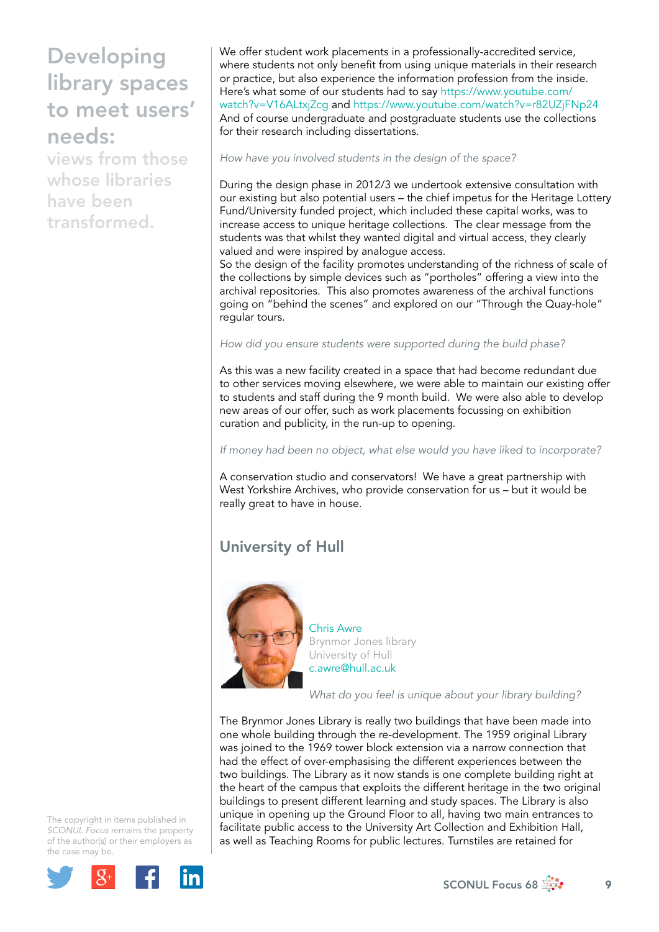views from those whose libraries have been transformed.

We offer student work placements in a professionally-accredited service, where students not only benefit from using unique materials in their research or practice, but also experience the information profession from the inside. Here's what some of our students had to say [https://www.youtube.com/](https://www.youtube.com/watch?v=V16ALtxjZcg) [watch?v=V16ALtxjZcg](https://www.youtube.com/watch?v=V16ALtxjZcg) and<https://www.youtube.com/watch?v=r82UZjFNp24> And of course undergraduate and postgraduate students use the collections for their research including dissertations.

*How have you involved students in the design of the space?*

During the design phase in 2012/3 we undertook extensive consultation with our existing but also potential users – the chief impetus for the Heritage Lottery Fund/University funded project, which included these capital works, was to increase access to unique heritage collections. The clear message from the students was that whilst they wanted digital and virtual access, they clearly valued and were inspired by analogue access.

So the design of the facility promotes understanding of the richness of scale of the collections by simple devices such as "portholes" offering a view into the archival repositories. This also promotes awareness of the archival functions going on "behind the scenes" and explored on our "Through the Quay-hole" regular tours.

### *How did you ensure students were supported during the build phase?*

As this was a new facility created in a space that had become redundant due to other services moving elsewhere, we were able to maintain our existing offer to students and staff during the 9 month build. We were also able to develop new areas of our offer, such as work placements focussing on exhibition curation and publicity, in the run-up to opening.

*If money had been no object, what else would you have liked to incorporate?*

A conservation studio and conservators! We have a great partnership with West Yorkshire Archives, who provide conservation for us – but it would be really great to have in house.

### University of Hull



Chris Awre Brynmor Jones library University of Hull [c.awre@hull.ac.uk](mailto:c.awre@hull.ac.uk)

*What do you feel is unique about your library building?*

The Brynmor Jones Library is really two buildings that have been made into one whole building through the re-development. The 1959 original Library was joined to the 1969 tower block extension via a narrow connection that had the effect of over-emphasising the different experiences between the two buildings. The Library as it now stands is one complete building right at the heart of the campus that exploits the different heritage in the two original buildings to present different learning and study spaces. The Library is also unique in opening up the Ground Floor to all, having two main entrances to facilitate public access to the University Art Collection and Exhibition Hall, as well as Teaching Rooms for public lectures. Turnstiles are retained for

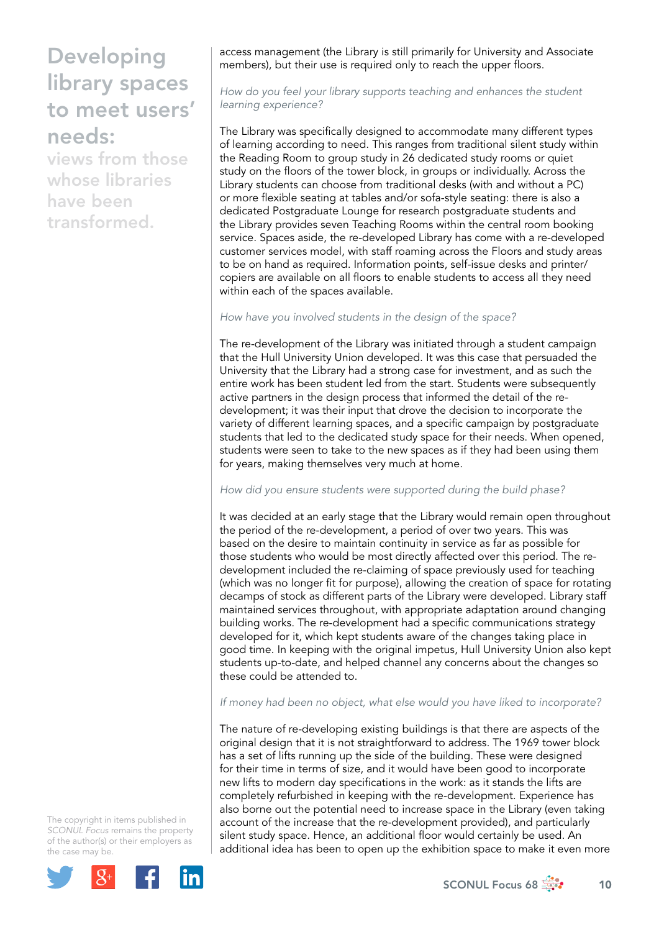views from those whose libraries have been transformed.

access management (the Library is still primarily for University and Associate members), but their use is required only to reach the upper floors.

*How do you feel your library supports teaching and enhances the student learning experience?*

The Library was specifically designed to accommodate many different types of learning according to need. This ranges from traditional silent study within the Reading Room to group study in 26 dedicated study rooms or quiet study on the floors of the tower block, in groups or individually. Across the Library students can choose from traditional desks (with and without a PC) or more flexible seating at tables and/or sofa-style seating: there is also a dedicated Postgraduate Lounge for research postgraduate students and the Library provides seven Teaching Rooms within the central room booking service. Spaces aside, the re-developed Library has come with a re-developed customer services model, with staff roaming across the Floors and study areas to be on hand as required. Information points, self-issue desks and printer/ copiers are available on all floors to enable students to access all they need within each of the spaces available.

*How have you involved students in the design of the space?*

The re-development of the Library was initiated through a student campaign that the Hull University Union developed. It was this case that persuaded the University that the Library had a strong case for investment, and as such the entire work has been student led from the start. Students were subsequently active partners in the design process that informed the detail of the redevelopment; it was their input that drove the decision to incorporate the variety of different learning spaces, and a specific campaign by postgraduate students that led to the dedicated study space for their needs. When opened, students were seen to take to the new spaces as if they had been using them for years, making themselves very much at home.

*How did you ensure students were supported during the build phase?*

It was decided at an early stage that the Library would remain open throughout the period of the re-development, a period of over two years. This was based on the desire to maintain continuity in service as far as possible for those students who would be most directly affected over this period. The redevelopment included the re-claiming of space previously used for teaching (which was no longer fit for purpose), allowing the creation of space for rotating decamps of stock as different parts of the Library were developed. Library staff maintained services throughout, with appropriate adaptation around changing building works. The re-development had a specific communications strategy developed for it, which kept students aware of the changes taking place in good time. In keeping with the original impetus, Hull University Union also kept students up-to-date, and helped channel any concerns about the changes so these could be attended to.

*If money had been no object, what else would you have liked to incorporate?*

The nature of re-developing existing buildings is that there are aspects of the original design that it is not straightforward to address. The 1969 tower block has a set of lifts running up the side of the building. These were designed for their time in terms of size, and it would have been good to incorporate new lifts to modern day specifications in the work: as it stands the lifts are completely refurbished in keeping with the re-development. Experience has also borne out the potential need to increase space in the Library (even taking account of the increase that the re-development provided), and particularly silent study space. Hence, an additional floor would certainly be used. An additional idea has been to open up the exhibition space to make it even more

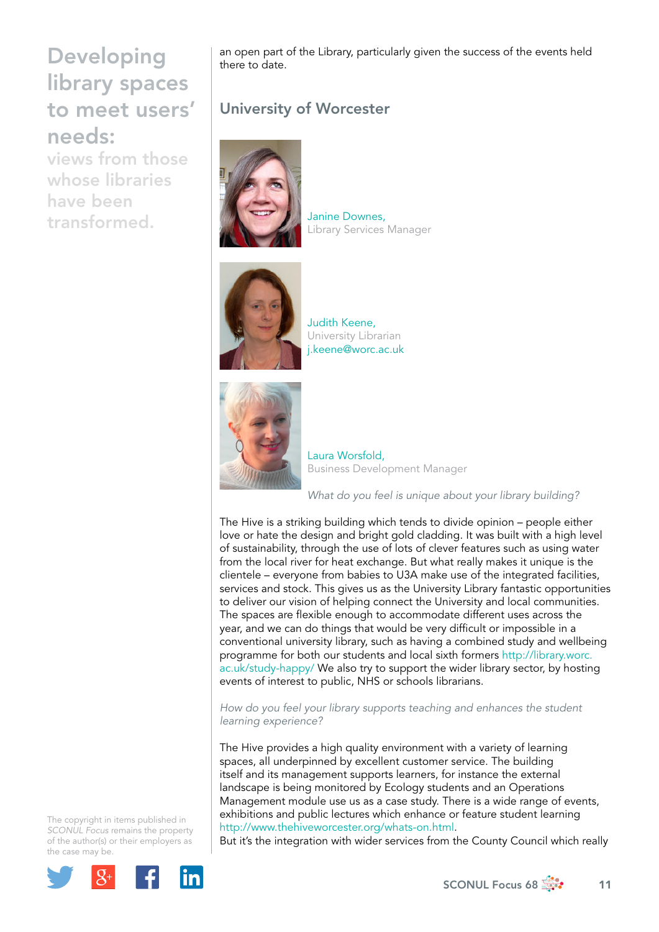views from those whose libraries have been transformed.

an open part of the Library, particularly given the success of the events held there to date.

## University of Worcester



Janine Downes, Library Services Manager



Judith Keene, University Librarian [j.keene@worc.ac.uk](mailto:j.keene@worc.ac.uk)



Laura Worsfold, Business Development Manager

### *What do you feel is unique about your library building?*

The Hive is a striking building which tends to divide opinion – people either love or hate the design and bright gold cladding. It was built with a high level of sustainability, through the use of lots of clever features such as using water from the local river for heat exchange. But what really makes it unique is the clientele – everyone from babies to U3A make use of the integrated facilities, services and stock. This gives us as the University Library fantastic opportunities to deliver our vision of helping connect the University and local communities. The spaces are flexible enough to accommodate different uses across the year, and we can do things that would be very difficult or impossible in a conventional university library, such as having a combined study and wellbeing programme for both our students and local sixth formers [http://library.worc.](http://library.worc.ac.uk/study-happy/) [ac.uk/study-happy/](http://library.worc.ac.uk/study-happy/) We also try to support the wider library sector, by hosting events of interest to public, NHS or schools librarians.

*How do you feel your library supports teaching and enhances the student learning experience?*

The Hive provides a high quality environment with a variety of learning spaces, all underpinned by excellent customer service. The building itself and its management supports learners, for instance the external landscape is being monitored by Ecology students and an Operations Management module use us as a case study. There is a wide range of events, exhibitions and public lectures which enhance or feature student learning <http://www.thehiveworcester.org/whats-on.html>.

But it's the integration with wider services from the County Council which really